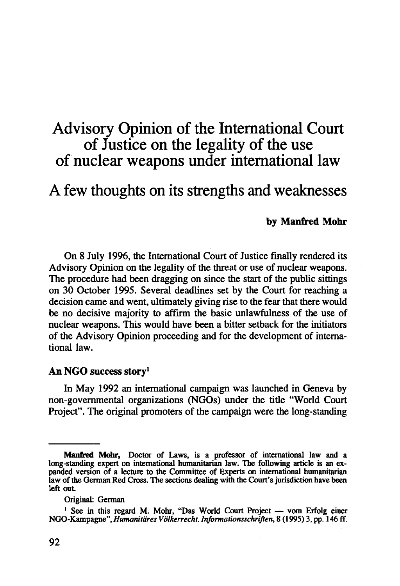# Advisory Opinion of the International Court of Justice on the legality of the use of nuclear weapons under international law

A few thoughts on its strengths and weaknesses

### **by Manfred Mohr**

On 8 July 1996, the International Court of Justice finally rendered its Advisory Opinion on the legality of the threat or use of nuclear weapons. The procedure had been dragging on since the start of the public sittings on 30 October 1995. Several deadlines set by the Court for reaching a decision came and went, ultimately giving rise to the fear that there would be no decisive majority to affirm the basic unlawfulness of the use of nuclear weapons. This would have been a bitter setback for the initiators of the Advisory Opinion proceeding and for the development of international law.

#### **An NGO success story1**

In May 1992 an international campaign was launched in Geneva by non-governmental organizations (NGOs) under the title "World Court Project". The original promoters of the campaign were the long-standing

Manfred Mohr, Doctor of Laws, is a professor of international law and a long-standing expert on international humanitarian law. The following article is an expanded version of a lecture to the Committee of Experts on inter

Original: German

<sup>&</sup>lt;sup>1</sup> See in this regard M. Mohr, "Das World Court Project — vom Erfolg einer NGO-Kampagne", *Humanitäres Völkerrecht. Informationsschriften*, 8 (1995) 3, pp. 146 ff.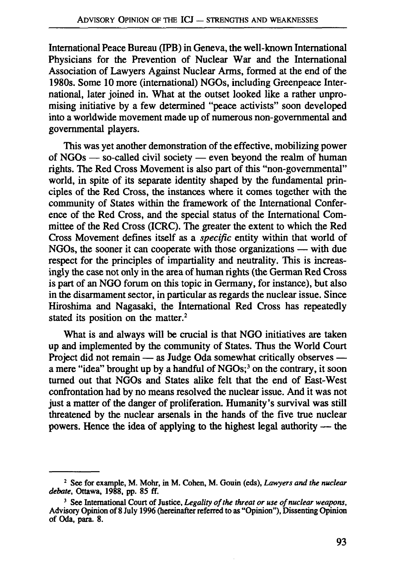International Peace Bureau (IPB) in Geneva, the well-known International Physicians for the Prevention of Nuclear War and the International Association of Lawyers Against Nuclear Arms, formed at the end of the 1980s. Some 10 more (international) NGOs, including Greenpeace International, later joined in. What at the outset looked like a rather unpromising initiative by a few determined "peace activists" soon developed into a worldwide movement made up of numerous non-governmental and governmental players.

This was yet another demonstration of the effective, mobilizing power of NGOs — so-called civil society — even beyond the realm of human rights. The Red Cross Movement is also part of this "non-governmental" world, in spite of its separate identity shaped by the fundamental principles of the Red Cross, the instances where it comes together with the community of States within the framework of the International Conference of the Red Cross, and the special status of the International Committee of the Red Cross (ICRC). The greater the extent to which the Red Cross Movement defines itself as a *specific* entity within that world of NGOs, the sooner it can cooperate with those organizations — with due respect for the principles of impartiality and neutrality. This is increasingly the case not only in the area of human rights (the German Red Cross is part of an NGO forum on this topic in Germany, for instance), but also in the disarmament sector, in particular as regards the nuclear issue. Since Hiroshima and Nagasaki, the International Red Cross has repeatedly stated its position on the matter.<sup>2</sup>

What is and always will be crucial is that NGO initiatives are taken up and implemented by the community of States. Thus the World Court Project did not remain — as Judge Oda somewhat critically observes a mere "idea" brought up by a handful of NGOs;<sup>3</sup> on the contrary, it soon turned out that NGOs and States alike felt that the end of East-West confrontation had by no means resolved the nuclear issue. And it was not just a matter of the danger of proliferation. Humanity's survival was still threatened by the nuclear arsenals in the hands of the five true nuclear powers. Hence the idea of applying to the highest legal authority — the

**<sup>2</sup> See for example, M. Mohr, in M. Cohen, M. Gouin (eds),** *Lawyers and the nuclear debate,* **Ottawa, 1988, pp. 85 ff.**

**<sup>3</sup> See International Court of Justice,** *Legality of the threat or use of nuclear weapons,* **Advisory Opinion of 8 July 1996 (hereinafter referred to as "Opinion"), Dissenting Opinion of Oda, para. 8.**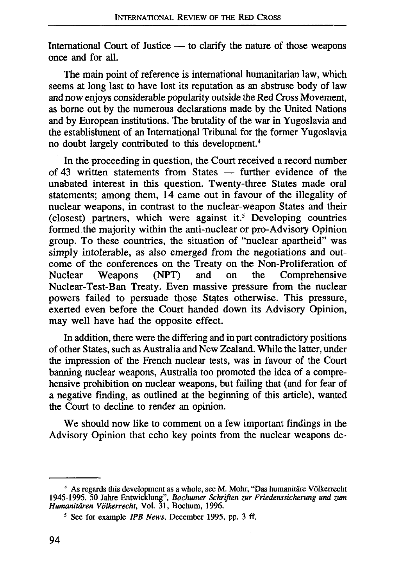International Court of Justice — to clarify the nature of those weapons once and for all.

The main point of reference is international humanitarian law, which seems at long last to have lost its reputation as an abstruse body of law and now enjoys considerable popularity outside the Red Cross Movement, as borne out by the numerous declarations made by the United Nations and by European institutions. The brutality of the war in Yugoslavia and the establishment of an International Tribunal for the former Yugoslavia no doubt largely contributed to this development.4

In the proceeding in question, the Court received a record number of 43 written statements from States — further evidence of the unabated interest in this question. Twenty-three States made oral statements; among them, 14 came out in favour of the illegality of nuclear weapons, in contrast to the nuclear-weapon States and their (closest) partners, which were against it.<sup>5</sup> Developing countries formed the majority within the anti-nuclear or pro-Advisory Opinion group. To these countries, the situation of "nuclear apartheid" was simply intolerable, as also emerged from the negotiations and outcome of the conferences on the Treaty on the Non-Proliferation of Nuclear Weapons (NPT) and on the Comprehensive Nuclear-Test-Ban Treaty. Even massive pressure from the nuclear powers failed to persuade those States otherwise. This pressure, exerted even before the Court handed down its Advisory Opinion, may well have had the opposite effect.

In addition, there were the differing and in part contradictory positions of other States, such as Australia and New Zealand. While the latter, under the impression of the French nuclear tests, was in favour of the Court banning nuclear weapons, Australia too promoted the idea of a comprehensive prohibition on nuclear weapons, but failing that (and for fear of a negative finding, as outlined at the beginning of this article), wanted the Court to decline to render an opinion.

We should now like to comment on a few important findings in the Advisory Opinion that echo key points from the nuclear weapons de-

<sup>4</sup> As regards this development as a whole, see M. Mohr, "Das humanitare Volkerrecht 1945-1995. 50 Jahre Entwicklung", *Bochumer Schriften zur Friedenssicherung und zum Humanitdren Volkerrecht,* Vol. 31, Bochum, 1996.

<sup>&</sup>lt;sup>5</sup> See for example *IPB News*, December 1995, pp. 3 ff.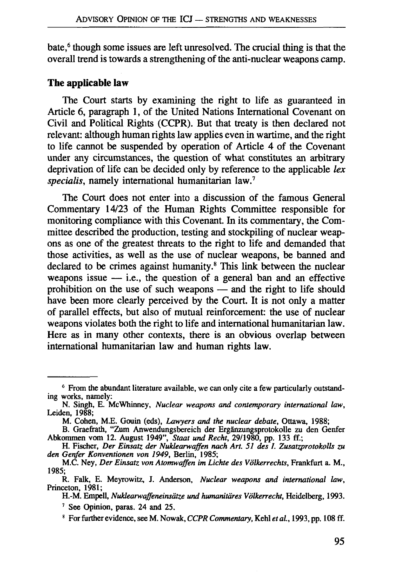bate,<sup>6</sup> though some issues are left unresolved. The crucial thing is that the overall trend is towards a strengthening of the anti-nuclear weapons camp.

## **The applicable law**

The Court starts by examining the right to life as guaranteed in Article 6, paragraph 1, of the United Nations International Covenant on Civil and Political Rights (CCPR). But that treaty is then declared not relevant: although human rights law applies even in wartime, and the right to life cannot be suspended by operation of Article 4 of the Covenant under any circumstances, the question of what constitutes an arbitrary deprivation of life can be decided only by reference to the applicable *lex specialis,* namely international humanitarian law.<sup>7</sup>

The Court does not enter into a discussion of the famous General Commentary 14/23 of the Human Rights Committee responsible for monitoring compliance with this Covenant. In its commentary, the Committee described the production, testing and stockpiling of nuclear weapons as one of the greatest threats to the right to life and demanded that those activities, as well as the use of nuclear weapons, be banned and declared to be crimes against humanity.<sup>8</sup> This link between the nuclear weapons issue — i.e., the question of a general ban and an effective prohibition on the use of such weapons — and the right to life should have been more clearly perceived by the Court. It is not only a matter of parallel effects, but also of mutual reinforcement: the use of nuclear weapons violates both the right to life and international humanitarian law. Here as in many other contexts, there is an obvious overlap between international humanitarian law and human rights law.

<sup>&</sup>lt;sup>6</sup> From the abundant literature available, we can only cite a few particularly outstand-From the abundant literature available, we can only cite a few particularly outstand- ing works, namely: N. Singh, E. McWhinney, *Nuclear weapons and contemporary international law,*

Leiden, 1988;

M. Cohen, M.E. Gouin (eds), *Lawyers and the nuclear debate,* Ottawa, 1988;

B. Graefrath, "Zum Anwendungsbereich der Erganzungsprotokolle zu den Genfer Abkommen vom 12. August 1949", *Stoat und Recht,* 29/1980, pp. 133 ff.;

H. Fischer, *Der Einsatz der Nuklearwaffen nach Art. 51 des I. Zusatzprotokolls zu den Genfer Konventionen von 1949,* Berlin, 1985;

M.C. Ney, *Der Einsatz von Atomwaffen im Lichte des Volkerrechts,* Frankfurt a. M., 1985;

R. Falk, E. Meyrowitz, J. Anderson, *Nuclear weapons and international law,* Princeton, 1981;

H.-M. Empell, *Nuklearwaffeneinsdtze und humanitdres Volkerrecht,* Heidelberg, 1993.

<sup>7</sup> See Opinion, paras. 24 and 25.

<sup>8</sup> For further evidence, see M. Nowak, *CCPR Commentary,* Kehl *et al.,* 1993, pp. 108 ff.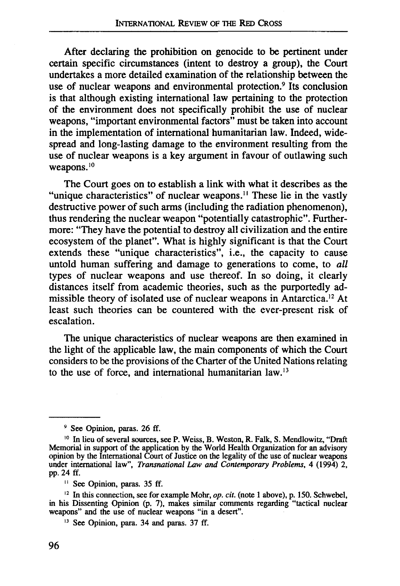After declaring the prohibition on genocide to be pertinent under certain specific circumstances (intent to destroy a group), the Court undertakes a more detailed examination of the relationship between the use of nuclear weapons and environmental protection.<sup>9</sup> Its conclusion is that although existing international law pertaining to the protection of the environment does not specifically prohibit the use of nuclear weapons, "important environmental factors" must be taken into account in the implementation of international humanitarian law. Indeed, widespread and long-lasting damage to the environment resulting from the use of nuclear weapons is a key argument in favour of outlawing such weapons.<sup>10</sup>

The Court goes on to establish a link with what it describes as the "unique characteristics" of nuclear weapons.<sup>11</sup> These lie in the vastly destructive power of such arms (including the radiation phenomenon), thus rendering the nuclear weapon "potentially catastrophic". Furthermore: "They have the potential to destroy all civilization and the entire ecosystem of the planet". What is highly significant is that the Court extends these "unique characteristics", i.e., the capacity to cause untold human suffering and damage to generations to come, to *all* types of nuclear weapons and use thereof. In so doing, it clearly distances itself from academic theories, such as the purportedly admissible theory of isolated use of nuclear weapons in Antarctica.<sup>12</sup> At least such theories can be countered with the ever-present risk of escalation.

The unique characteristics of nuclear weapons are then examined in the light of the applicable law, the main components of which the Court considers to be the provisions of the Charter of the United Nations relating to the use of force, and international humanitarian law.13

<sup>9</sup> See Opinion, paras. 26 ff.

<sup>&</sup>lt;sup>10</sup> In lieu of several sources, see P. Weiss, B. Weston, R. Falk, S. Mendlowitz, "Draft Memorial in support of the application by the World Health Organization for an advisory opinion by the International Court of Justice on the legality of the use of nuclear weapons under international law", *Transnational Law and Contemporary Problems*, 4 (1994) 2, pp. 24 ff.

<sup>&</sup>lt;sup>11</sup> See Opinion, paras. 35 ff.

<sup>&</sup>lt;sup>12</sup> In this connection, see for example Mohr, op. cit. (note 1 above), p. 150. Schwebel, in his Dissenting Opinion (p. 7), makes similar comments regarding "tactical nuclear weapons" and the use of nuclear weapons "in a desert".

<sup>&</sup>lt;sup>13</sup> See Opinion, para. 34 and paras. 37 ff.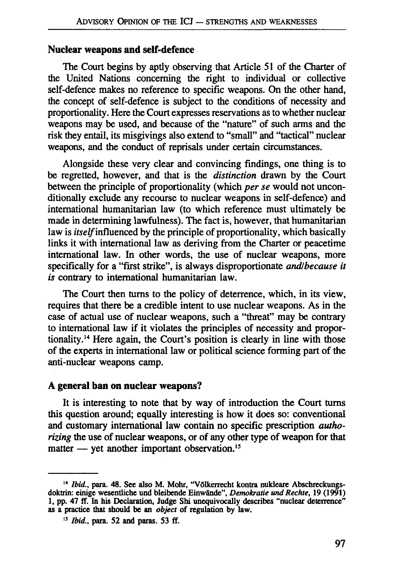#### **Nuclear weapons and self-defence**

The Court begins by aptly observing that Article 51 of the Charter of the United Nations concerning the right to individual or collective self-defence makes no reference to specific weapons. On the other hand, the concept of self-defence is subject to the conditions of necessity and proportionality. Here the Court expresses reservations as to whether nuclear weapons may be used, and because of the "nature" of such arms and the risk they entail, its misgivings also extend to "small" and "tactical" nuclear weapons, and the conduct of reprisals under certain circumstances.

Alongside these very clear and convincing findings, one thing is to be regretted, however, and that is the *distinction* drawn by the Court between the principle of proportionality (which *per se* would not unconditionally exclude any recourse to nuclear weapons in self-defence) and international humanitarian law (to which reference must ultimately be made in determining lawfulness). The fact is, however, that humanitarian law is *itself* influenced by the principle of proportionality, which basically links it with international law as deriving from the Charter or peacetime international law. In other words, the use of nuclear weapons, more specifically for a "first strike", is always disproportionate *and/because it is* contrary to international humanitarian law.

The Court then turns to the policy of deterrence, which, in its view, requires that there be a credible intent to use nuclear weapons. As in the case of actual use of nuclear weapons, such a "threat" may be contrary to international law if it violates the principles of necessity and proportionality.<sup>14</sup> Here again, the Court's position is clearly in line with those of the experts in international law or political science forming part of the anti-nuclear weapons camp.

## **A general ban on nuclear weapons?**

It is interesting to note that by way of introduction the Court turns this question around; equally interesting is how it does so: conventional and customary international law contain no specific prescription *authorizing* the use of nuclear weapons, or of any other type of weapon for that matter — yet another important observation.<sup>15</sup>

<sup>&</sup>lt;sup>14</sup> Ibid., para. 48. See also M. Mohr, "Völkerrecht kontra nukleare Abschreckungs**doktrin: einige wesentliche und bleibende EinwSnde",** *Demokratie undRechte,* **19 (1991) 1, pp. 47 ff. In his Declaration, Judge Shi unequivocally describes "nuclear deterrence" as a practice that should be an** *object* **of regulation by law.**

**<sup>15</sup>**  *Ibid.,* **para. 52 and paras. S3 ff.**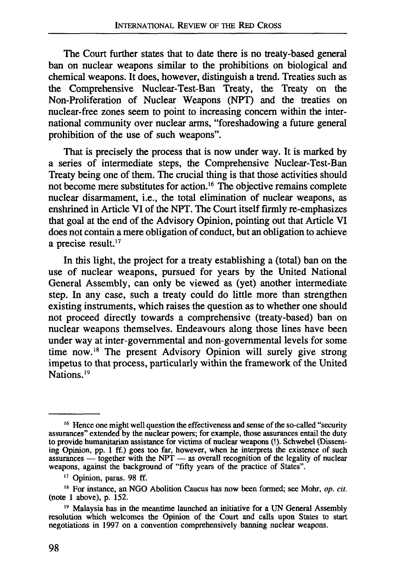The Court further states that to date there is no treaty-based general ban on nuclear weapons similar to the prohibitions on biological and chemical weapons. It does, however, distinguish a trend. Treaties such as the Comprehensive Nuclear-Test-Ban Treaty, the Treaty on the Non-Proliferation of Nuclear Weapons (NPT) and the treaties on nuclear-free zones seem to point to increasing concern within the international community over nuclear arms, "foreshadowing a future general prohibition of the use of such weapons".

That is precisely the process that is now under way. It is marked by a series of intermediate steps, the Comprehensive Nuclear-Test-Ban Treaty being one of them. The crucial thing is that those activities should not become mere substitutes for action.<sup>16</sup> The objective remains complete nuclear disarmament, i.e., the total elimination of nuclear weapons, as enshrined in Article VI of the NPT. The Court itself firmly re-emphasizes that goal at the end of the Advisory Opinion, pointing out that Article VI does not contain a mere obligation of conduct, but an obligation to achieve a precise result.<sup>17</sup>

In this light, the project for a treaty establishing a (total) ban on the use of nuclear weapons, pursued for years by the United National General Assembly, can only be viewed as (yet) another intermediate step. In any case, such a treaty could do little more than strengthen existing instruments, which raises the question as to whether one should not proceed directly towards a comprehensive (treaty-based) ban on nuclear weapons themselves. Endeavours along those lines have been under way at inter-governmental and non-governmental levels for some time now.18 The present Advisory Opinion will surely give strong impetus to that process, particularly within the framework of the United Nations.<sup>19</sup>

<sup>&</sup>lt;sup>16</sup> Hence one might well question the effectiveness and sense of the so-called "security" assurances" extended by the nuclear powers; for example, those assurances entail the duty to provide humanitarian assistance for victims of nuclear weapons (!). Schwebel (Dissenting Opinion, pp. 1 ff.) goes too far, however, when he interprets the existence of such<br>assurances — together with the NPT — as overall recognition of the legality of nuclear<br>weapons, against the background of "fifty years

<sup>&</sup>lt;sup>17</sup> Opinion, paras. 98 ff.

<sup>&</sup>lt;sup>18</sup> For instance, an NGO Abolition Caucus has now been formed; see Mohr, op. cit. (note 1 above), p. 152.

<sup>&</sup>lt;sup>19</sup> Malaysia has in the meantime launched an initiative for a UN General Assembly resolution which welcomes the Opinion of the Court and calls upon States to start negotiations in 1997 on a convention comprehensively banning nuclear weapons.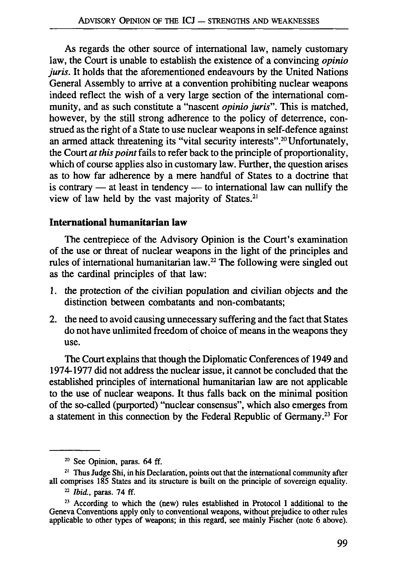As regards the other source of international law, namely customary law, the Court is unable to establish the existence of a convincing *opinio juris.* It holds that the aforementioned endeavours by the United Nations General Assembly to arrive at a convention prohibiting nuclear weapons indeed reflect the wish of a very large section of the international community, and as such constitute a "nascent *opinio juris".* This is matched, however, by the still strong adherence to the policy of deterrence, construed as the right of a State to use nuclear weapons in self-defence against an armed attack threatening its "vital security interests".<sup>20</sup> Unfortunately, the Court *at this point* fails to refer back to the principle of proportionality, which of course applies also in customary law. Further, the question arises as to how far adherence by a mere handful of States to a doctrine that is contrary — at least in tendency — to international law can nullify the view of law held by the vast majority of States.<sup>21</sup>

# **International humanitarian law**

The centrepiece of the Advisory Opinion is the Court's examination of the use or threat of nuclear weapons in the light of the principles and rules of international humanitarian law.<sup>22</sup> The following were singled out as the cardinal principles of that law:

- 1. the protection of the civilian population and civilian objects and the distinction between combatants and non-combatants;
- 2. the need to avoid causing unnecessary suffering and the fact that States do not have unlimited freedom of choice of means in the weapons they use.

The Court explains that though the Diplomatic Conferences of 1949 and 1974-1977 did not address the nuclear issue, it cannot be concluded that the established principles of international humanitarian law are not applicable to the use of nuclear weapons. It thus falls back on the minimal position of the so-called (purported) "nuclear consensus", which also emerges from a statement in this connection by the Federal Republic of Germany.<sup>23</sup> For

<sup>20</sup> See Opinion, paras. 64 ff.

<sup>&</sup>lt;sup>21</sup> Thus Judge Shi, in his Declaration, points out that the international community after all comprises 185 States and its structure is built on the principle of sovereign equality.

<sup>22</sup>  *Ibid.,* paras. 74 ff.

<sup>&</sup>lt;sup>23</sup> According to which the (new) rules established in Protocol I additional to the Geneva Conventions apply only to conventional weapons, without prejudice to other rules applicable to other types of weapons; in this regard, see mainly Fischer (note 6 above).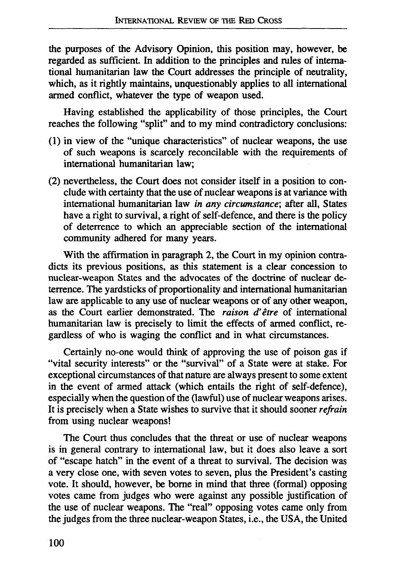the purposes of the Advisory Opinion, this position may, however, be regarded as sufficient. In addition to the principles and rules of international humanitarian law the Court addresses the principle of neutrality, which, as it rightly maintains, unquestionably applies to all international armed conflict, whatever the type of weapon used.

Having established the applicability of those principles, the Court reaches the following "split" and to my mind contradictory conclusions:

- (1) in view of the "unique characteristics" of nuclear weapons, the use of such weapons is scarcely reconcilable with the requirements of international humanitarian law;
- (2) nevertheless, the Court does not consider itself in a position to conclude with certainty that the use of nuclear weapons is at variance with international humanitarian law *in any circumstance;* after all, States have a right to survival, a right of self-defence, and there is the policy of deterrence to which an appreciable section of the international community adhered for many years.

With the affirmation in paragraph 2, the Court in my opinion contradicts its previous positions, as this statement is a clear concession to nuclear-weapon States and the advocates of the doctrine of nuclear deterrence. The yardsticks of proportionality and international humanitarian law are applicable to any use of nuclear weapons or of any other weapon, as the Court earlier demonstrated. The *raison d'être* of international humanitarian law is precisely to limit the effects of armed conflict, regardless of who is waging the conflict and in what circumstances.

Certainly no-one would think of approving the use of poison gas if "vital security interests" or the "survival" of a State were at stake. For exceptional circumstances of that nature are always present to some extent in the event of armed attack (which entails the right of self-defence), especially when the question of the (lawful) use of nuclear weapons arises. It is precisely when a State wishes to survive that it should sooner *refrain* from using nuclear weapons!

The Court thus concludes that the threat or use of nuclear weapons is in general contrary to international law, but it does also leave a sort of "escape hatch" in the event of a threat to survival. The decision was a very close one, with seven votes to seven, plus the President's casting vote. It should, however, be borne in mind that three (formal) opposing votes came from judges who were against any possible justification of the use of nuclear weapons. The "real" opposing votes came only from the judges from the three nuclear-weapon States, i.e., the USA, the United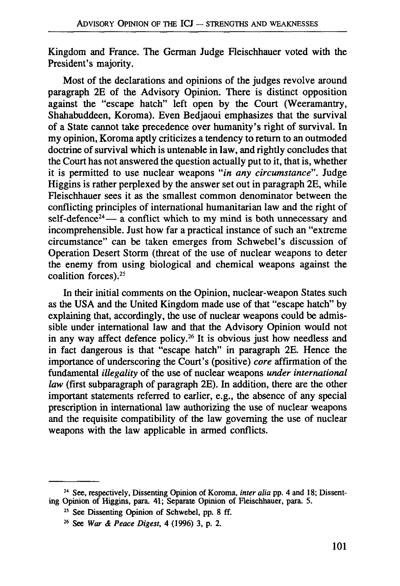Kingdom and France. The German Judge Fleischhauer voted with the President's majority.

Most of the declarations and opinions of the judges revolve around paragraph 2E of the Advisory Opinion. There is distinct opposition against the "escape hatch" left open by the Court (Weeramantry, Shahabuddeen, Koroma). Even Bedjaoui emphasizes that the survival of a State cannot take precedence over humanity's right of survival. In my opinion, Koroma aptly criticizes a tendency to return to an outmoded doctrine of survival which is untenable in law, and rightly concludes that the Court has not answered the question actually put to it, that is, whether it is permitted to use nuclear weapons *"in any circumstance".* Judge Higgins is rather perplexed by the answer set out in paragraph 2E, while Fleischhauer sees it as the smallest common denominator between the conflicting principles of international humanitarian law and the right of self-defence<sup>24</sup> — a conflict which to my mind is both unnecessary and incomprehensible. Just how far a practical instance of such an "extreme circumstance" can be taken emerges from Schwebel's discussion of Operation Desert Storm (threat of the use of nuclear weapons to deter the enemy from using biological and chemical weapons against the coalition forces).25

In their initial comments on the Opinion, nuclear-weapon States such as the USA and the United Kingdom made use of that "escape hatch" by explaining that, accordingly, the use of nuclear weapons could be admissible under international law and that the Advisory Opinion would not in any way affect defence policy.<sup>26</sup> It is obvious just how needless and in fact dangerous is that "escape hatch" in paragraph 2E. Hence the importance of underscoring the Court's (positive) *core* affirmation of the fundamental *illegality* of the use of nuclear weapons *under international law* (first subparagraph of paragraph 2E). In addition, there are the other important statements referred to earlier, e.g., the absence of any special prescription in international law authorizing the use of nuclear weapons and the requisite compatibility of the law governing the use of nuclear weapons with the law applicable in armed conflicts.

<sup>&</sup>lt;sup>24</sup> See, respectively, Dissenting Opinion of Koroma, *inter alia* pp. 4 and 18; Dissenting Opinion of Higgins, para. 41; Separate Opinion of Fleischhauer, para. 5.

<sup>&</sup>lt;sup>25</sup> See Dissenting Opinion of Schwebel, pp. 8 ff.

<sup>26</sup> See *War & Peace Digest,* 4 (1996) 3, p. 2.